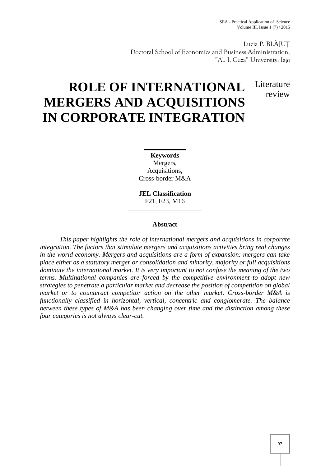Lucia P. BL JUȚ Doctoral School of Economics and Business Administration, "Al. I. Cuza" University, Ia i

# Literature review

# **ROLE OF INTERNATIONAL MERGERS AND ACQUISITIONS IN CORPORATE INTEGRATION**

**Keywords** Mergers, Acquisitions, Cross-border M&A

**JEL Classification** F21, F23, M16

# **Abstract**

*This paper highlights the role of international mergers and acquisitions in corporate integration. The factors that stimulate mergers and acquisitions activities bring real changes in the world economy. Mergers and acquisitions are a form of expansion: mergers can take place either as a statutory merger or consolidation and minority, majority or full acquisitions dominate the international market. It is very important to not confuse the meaning of the two terms. Multinational companies are forced by the competitive environment to adopt new strategies to penetrate a particular market and decrease the position of competition on global market or to counteract competitor action on the other market. Cross-border M&A is functionally classified in horizontal, vertical, concentric and conglomerate. The balance between these types of M&A has been changing over time and the distinction among these four categories is not always clear-cut.*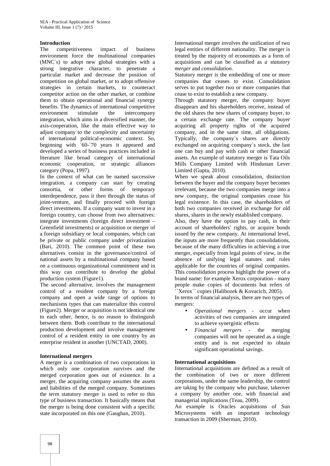# **Introduction**

The competitiveness impact of business environment force the multinational companies (MNC`s) to adopt new global strategies with a strong integrative character, to penetrate a particular market and decrease the position of competition on global market, or to adopt offensive strategies in certain markets, to counteract competitor action on the other market, or combine them to obtain operational and financial synergy benefits. The dynamics of international competitive environment stimulate the intercompany integration, which aims in a diversified manner, the axis-cooperation, like the main effective way to adjust company to the complexity and uncertainty of international political-economic context. So, beginning with `60-`70 years it appeared and developed a series of business practices included in literature like broad category of international economic cooperation, or strategic alliances category (Popa, 1997).

In the context of what can be named successive integration, a company can start by creating consortia, or other forms of temporary interdependence, pass it then through the status of joint-venture, and finally proceed with foreign direct investments. If a company want to invest in a foreign country, can choose from two alternatives: integrate investments (foreign direct investment – Greenfield investments) or acquisition or merger of a foreign subsidiary or local companies, which can be private or public company under privatization (Bari, 2010). The common point of these two alternatives consist in the governance/control of national assets by a multinational company based on a continuous organizational commitment and in this way can contribute to develop the global production system (Figure1).

The second alternative, involves the management control of a resident company by a foreign company and open a wide range of options to mechanisms types that can materialize this control (Figure2). Merger or acquisition is not identical one to each other, hence, is no reason to distinguish between them. Both contribute to the international production development and involve management control of a resident entity in one country by an enterprise resident in another (UNCTAD, 2000).

#### **International mergers**

A merger is a combination of two corporations in which only one corporation survives and the merged corporation goes out of existence. In a merger, the acquiring company assumes the assets and liabilities of the merged company. Sometimes the term statutory merger is used to refer to this type of business transaction. It basically means that the merger is being done consistent with a specific state incorporated on this one (Gaughan, 2010).

International merger involves the unification of two legal entities of different nationality. The merger is treated by the majority of economists as a form of acquisitions and can be classified as *a statutory merger* and *consolidation*.

Statutory merger is the embedding of one or more companies that ceases to exist. Consolidation serves to put together two or more companies that cease to exist to establish a new company.

Through statutory merger, the company buyer disappears and his shareholders receive, instead of the old shares the new shares of company buyer, to a certain exchange rate. The company buyer acquiring all property rights of the acquired company, and in the same time, all obligations. Typically, the company`s shares are directly exchanged on acquiring company`s stock, the last one can buy and pay with cash or other financial assets. An example of statutory merger is Tata Oils Mills Company Limited with Hindustan Lever Limited (Gupta, 2010).

When we speak about consolidation, distinction between the buyer and the company buyer becomes irrelevant, because the two companies merge into a new company, the original companies cease his legal existence. In this case, the shareholders of both two companies received in exchange for old shares, shares in the newly established company.

Also, they have the option to pay cash, in their account of shareholders' rights, or acquire bonds issued by the new company. At international level, the inputs are more frequently than consolidations, because of the many difficulties in achieving a true merger, especially from legal points of view, in the absence of unifying legal statutes and rules applicable for the countries of original companies. This consolidation process highlight the power of a brand name: for example Xerox corporation - many people make copies of documents but refers of ``Xerox`` copies (Halibozek & Kovacich, 2005).

In terms of financial analysis, there are two types of mergers:

- *Operational mergers* occur when activities of two companies are integrated to achieve synergistic effects
- *Financial mergers* the merging companies will not be operated as a single entity and is not expected to obtain significant operational savings.

#### **International acquisitions**

International acquisitions are defined as a result of the combination of two or more different corporations, under the same leadership, the control are taking by the company who purchase, takeover a company by another one, with financial and managerial implications (Teau, 2009).

An example is Oracles acquisitions of Sun Microsystems with an important technology transaction in 2009 (Sherman, 2010).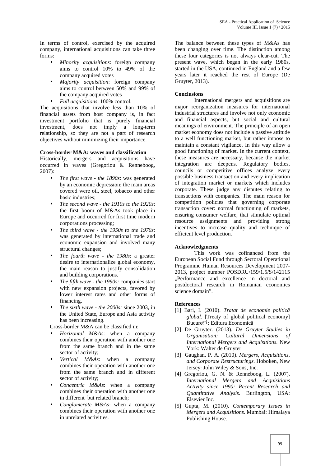In terms of control, exercised by the acquired company, international acquisitions can take three forms:

- *Minority acquisitions*: foreign company aims to control 10% to 49% of the company acquired votes
- *Majority acquisition*: foreign company aims to control between 50% and 99% of the company acquired votes
- *Full acquisitions*: 100% control.

The acquisitions that involve less than 10% of financial assets from host company is, in fact investment portfolio that is purely financial investment, does not imply a long-term relationship, so they are not a part of research objectives without minimizing their importance.

#### **Cross-border M&A: waves and classification**

Historically, mergers and acquisitions have occurred in waves (Gregoriou & Renneboog, 2007):

- *The first wave - the 1890s*: was generated by an economic depression; the main areas covered were oil, steel, tobacco and other basic industries;
- *The second wave - the 1910s to the 1920s*: the first boom of M&As took place in Europe and occurred for first time modern corporations processing;
- *The third wave - the 1950s to the 1970s*: was generated by international trade and economic expansion and involved many structural changes;
- *The fourth wave - the 1980s*: a greater desire to internationalize global economy, the main reason to justify consolidation and building corporations.
- *The fifth wave - the 1990s:* companies start with new expansion projects, favored by lower interest rates and other forms of financing.
- *The sixth wave - the 2000s:* since 2003, in the United State, Europe and Asia activity has been increasing.

Cross-border M&A can be classified in:

- *Horizontal M&As*: when a company combines their operation with another one from the same branch and in the same sector of activity;
- *Vertical M&As*: when a company combines their operation with another one from the same branch and in different sector of activity;
- *Concentric M&As*: when a company combines their operation with another one in different but related branch;
- *Conglomerate M&As*: when a company combines their operation with another one in unrelated activities.

The balance between these types of M&As has been changing over time. The distinction among these four categories is not always clear-cut. The present wave, which began in the early 1980s, started in the USA, continued in England and a few years later it reached the rest of Europe (De Gruyter, 2013).

# **Conclusions**

International mergers and acquisitions are major reorganization measures for international industrial structures and involve not only economic and financial aspects, but social and cultural meanings of environment. The principle of an open market economy does not include a passive attitude to a well functioning market, but rather impose to maintain a constant vigilance. In this way allow a good functioning of market. In the current context, these measures are necessary, because the market integration are deepens. Regulatory bodies, councils or competitive offices analyze every possible business transaction and every implication of integration market or markets which includes corporate. These judge any disputes relating to transactions with companies. The main reason for competition policies that governing corporate transaction cover: normal functioning of markets, ensuring consumer welfare, that stimulate optimal resource assignments and providing strong incentives to increase quality and technique of efficient level production.

# **Acknowledgments**

This work was cofinanced from the European Social Fund through Sectoral Operational Programme Human Resources Development 2007- 2013, project number POSDRU/159/1.5/S/142115 "Performance and excellence in doctoral and postdoctoral research in Romanian economics science domain".

# **References**

- [1] Bari, I. (2010). *Tratat de economie politică global.* [Treaty of global political economy] Bucure <sup>ti</sup>: Editura Economic
- [2] De Gruyter. (2013). *De Gruyter Studies in Organisation: Cultural Dimensions of International Mergers and Acquisitions*. New York: Walter de Gruyter
- [3] Gaughan, P. A. (2010). *Mergers, Acquisitions, and Corporate Restructurings*. Hoboken, New Jersey: John Wiley & Sons, Inc.
- [4] Gregoriou, G. N. & Renneboog, L. (2007). *International Mergers and Acquisitions Activity since 1990: Recent Research and Quantitative Analysis*. Burlington, USA: Elsevier Inc.
- [5] Gupta, M. (2010). *Contemporary Issues in Mergers and Acquisitions*. Mumbai: Himalaya Publishing House.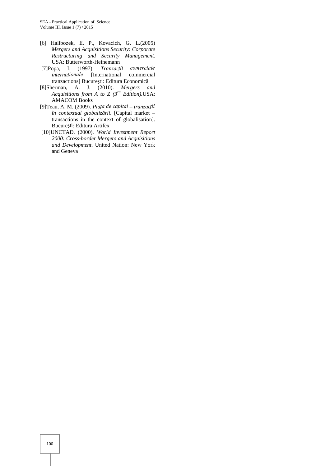- [6] Halibozek, E. P., Kovacich, G. L.(2005) *Mergers and Acquisitions Security: Corporate Restructuring and Security Management.* USA: Butterworth-Heinemann
- [7]Popa, I. (1997). *Tranzacții comerciale internaționale* [International commercial tranzactions] Bucure ti: Editura Economic
- [8]Sherman, A. J. (2010). *Mergers and Acquisitions from A to Z (3rd Edition).*USA: AMACOM Books
- [9]Teau, A. M. (2009). *Piața de capital – tranzacții*  $\hat{i}$ n *contextual globaliz rii*. [Capital market – transactions in the context of globalisation]. Bucure ti: Editura Artifex
- [10]UNCTAD. (2000). *World Investment Report 2000: Cross-border Mergers and Acquisitions and Development*. United Nation: New York and Geneva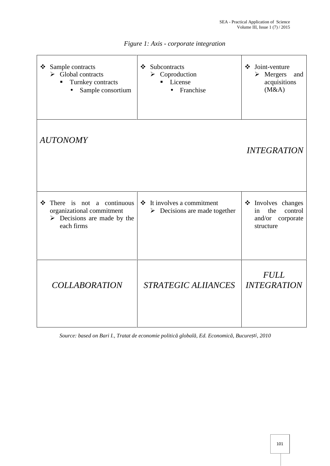| Sample contracts<br>❖<br>$\triangleright$ Global contracts<br>Turnkey contracts<br>Sample consortium                    | Subcontracts<br>❖<br>$\triangleright$ Coproduction<br>License<br>n,<br>Franchise<br>$\bullet$ | Joint-venture<br>❖<br>$\triangleright$ Mergers<br>and<br>acquisitions<br>(M&A)     |
|-------------------------------------------------------------------------------------------------------------------------|-----------------------------------------------------------------------------------------------|------------------------------------------------------------------------------------|
| <b>AUTONOMY</b>                                                                                                         |                                                                                               | <b>INTEGRATION</b>                                                                 |
| There is not a continuous<br>❖<br>organizational commitment<br>$\triangleright$ Decisions are made by the<br>each firms | It involves a commitment<br>$\frac{1}{2}$<br>$\triangleright$ Decisions are made together     | <b>*</b> Involves changes<br>the<br>control<br>in<br>and/or corporate<br>structure |
| <b>COLLABORATION</b>                                                                                                    | STRATEGIC ALIIANCES                                                                           | <b>FULL</b><br><b>INTEGRATION</b>                                                  |

*Figure 1: Axis - corporate integration*

*Source: based on Bari I., Tratat de economie politică globală, Ed. Economică, București, 2010*